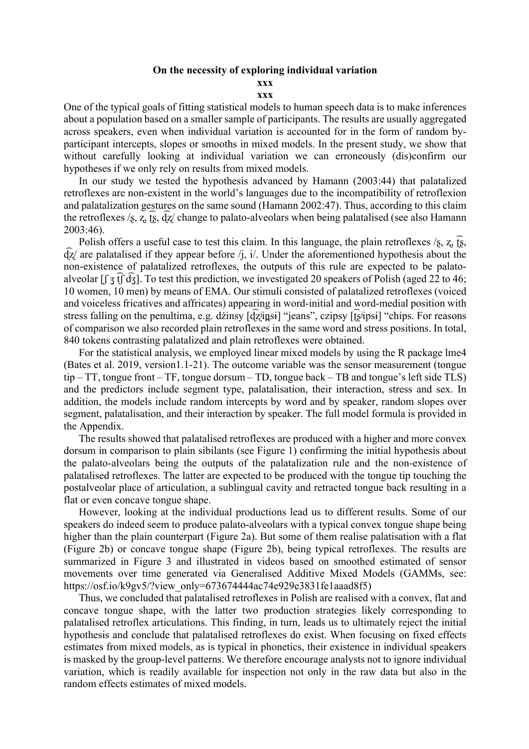## **On the necessity of exploring individual variation**

## **xxx**

## **xxx**

One of the typical goals of fitting statistical models to human speech data is to make inferences about a population based on a smaller sample of participants. The results are usually aggregated across speakers, even when individual variation is accounted for in the form of random byparticipant intercepts, slopes or smooths in mixed models. In the present study, we show that without carefully looking at individual variation we can erroneously (dis)confirm our hypotheses if we only rely on results from mixed models.

In our study we tested the hypothesis advanced by Hamann (2003:44) that palatalized retroflexes are non-existent in the world's languages due to the incompatibility of retroflexion and palatalization gestures on the same sound (Hamann 2002:47). Thus, according to this claim the retroflexes /s, z,  $\overline{g}$ ,  $\overline{Q}$  change to palato-alveolars when being palatalised (see also Hamann 2003:46).

Polish offers a useful case to test this claim. In this language, the plain retroflexes  $\chi$ ,  $\chi$ ,  $\overline{\chi}$ ,  $\overline{q}z$  are palatalised if they appear before /j, i/. Under the aforementioned hypothesis about the non-existence of palatalized retroflexes, the outputs of this rule are expected to be palatoalveolar [f  $\bar{3}$   $\bar{t}$ ]  $\bar{d}$  $\bar{3}$ ]. To test this prediction, we investigated 20 speakers of Polish (aged 22 to 46; 10 women, 10 men) by means of EMA. Our stimuli consisted of palatalized retroflexes (voiced and voiceless fricatives and affricates) appearing in word-initial and word-medial position with stress falling on the penultima, e.g. dzinsy [d͡zʲin̪sɨ] "jeans", czipsy [t͡ʂʲipsɨ] "chips. For reasons of comparison we also recorded plain retroflexes in the same word and stress positions. In total, 840 tokens contrasting palatalized and plain retroflexes were obtained.

For the statistical analysis, we employed linear mixed models by using the R package lme4 (Bates et al. 2019, version1.1-21). The outcome variable was the sensor measurement (tongue tip – TT, tongue front – TF, tongue dorsum – TD, tongue back – TB and tongue's left side TLS) and the predictors include segment type, palatalisation, their interaction, stress and sex. In addition, the models include random intercepts by word and by speaker, random slopes over segment, palatalisation, and their interaction by speaker. The full model formula is provided in the Appendix.

The results showed that palatalised retroflexes are produced with a higher and more convex dorsum in comparison to plain sibilants (see Figure 1) confirming the initial hypothesis about the palato-alveolars being the outputs of the palatalization rule and the non-existence of palatalised retroflexes. The latter are expected to be produced with the tongue tip touching the postalveolar place of articulation, a sublingual cavity and retracted tongue back resulting in a flat or even concave tongue shape.

However, looking at the individual productions lead us to different results. Some of our speakers do indeed seem to produce palato-alveolars with a typical convex tongue shape being higher than the plain counterpart (Figure 2a). But some of them realise palatisation with a flat (Figure 2b) or concave tongue shape (Figure 2b), being typical retroflexes. The results are summarized in Figure 3 and illustrated in videos based on smoothed estimated of sensor movements over time generated via Generalised Additive Mixed Models (GAMMs, see: https://osf.io/k9gv5/?view\_only=673674444ac74e929e3831fe1aaad8f5)

Thus, we concluded that palatalised retroflexes in Polish are realised with a convex, flat and concave tongue shape, with the latter two production strategies likely corresponding to palatalised retroflex articulations. This finding, in turn, leads us to ultimately reject the initial hypothesis and conclude that palatalised retroflexes do exist. When focusing on fixed effects estimates from mixed models, as is typical in phonetics, their existence in individual speakers is masked by the group-level patterns. We therefore encourage analysts not to ignore individual variation, which is readily available for inspection not only in the raw data but also in the random effects estimates of mixed models.